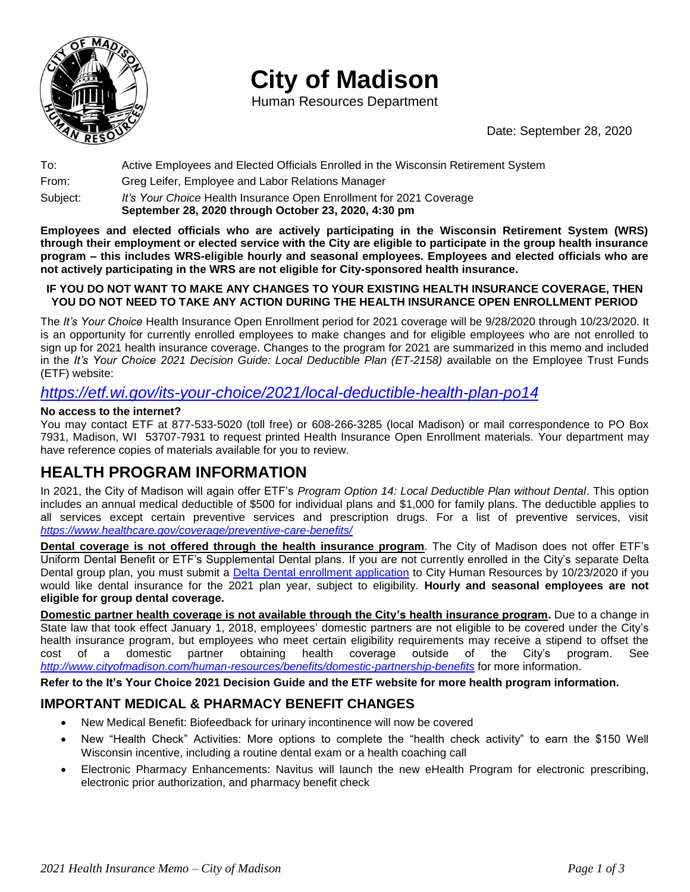

# **City of Madison**

Human Resources Department

Date: September 28, 2020

To: Active Employees and Elected Officials Enrolled in the Wisconsin Retirement System

From: Greg Leifer, Employee and Labor Relations Manager

Subject: *It's Your Choice* Health Insurance Open Enrollment for 2021 Coverage **September 28, 2020 through October 23, 2020, 4:30 pm**

**Employees and elected officials who are actively participating in the Wisconsin Retirement System (WRS) through their employment or elected service with the City are eligible to participate in the group health insurance program – this includes WRS-eligible hourly and seasonal employees. Employees and elected officials who are not actively participating in the WRS are not eligible for City-sponsored health insurance.**

#### **IF YOU DO NOT WANT TO MAKE ANY CHANGES TO YOUR EXISTING HEALTH INSURANCE COVERAGE, THEN YOU DO NOT NEED TO TAKE ANY ACTION DURING THE HEALTH INSURANCE OPEN ENROLLMENT PERIOD**

The *It's Your Choice* Health Insurance Open Enrollment period for 2021 coverage will be 9/28/2020 through 10/23/2020. It is an opportunity for currently enrolled employees to make changes and for eligible employees who are not enrolled to sign up for 2021 health insurance coverage. Changes to the program for 2021 are summarized in this memo and included in the *It's Your Choice 2021 Decision Guide: Local Deductible Plan (ET-2158)* available on the Employee Trust Funds (ETF) website:

### *<https://etf.wi.gov/its-your-choice/2021/local-deductible-health-plan-po14>*

#### **No access to the internet?**

You may contact ETF at 877-533-5020 (toll free) or 608-266-3285 (local Madison) or mail correspondence to PO Box 7931, Madison, WI 53707-7931 to request printed Health Insurance Open Enrollment materials. Your department may have reference copies of materials available for you to review.

# **HEALTH PROGRAM INFORMATION**

In 2021, the City of Madison will again offer ETF's *Program Option 14: Local Deductible Plan without Dental*. This option includes an annual medical deductible of \$500 for individual plans and \$1,000 for family plans. The deductible applies to all services except certain preventive services and prescription drugs. For a list of preventive services, visit *<https://www.healthcare.gov/coverage/preventive-care-benefits/>*

**Dental coverage is not offered through the health insurance program**. The City of Madison does not offer ETF's Uniform Dental Benefit or ETF's Supplemental Dental plans. If you are not currently enrolled in the City's separate Delta Dental group plan, you must submit a [Delta Dental enrollment application](https://www.cityofmadison.com/human-resources/documents/deltaDentalApp.pdf) to City Human Resources by 10/23/2020 if you would like dental insurance for the 2021 plan year, subject to eligibility. **Hourly and seasonal employees are not eligible for group dental coverage.**

**Domestic partner health coverage is not available through the City's health insurance program.** Due to a change in State law that took effect January 1, 2018, employees' domestic partners are not eligible to be covered under the City's health insurance program, but employees who meet certain eligibility requirements may receive a stipend to offset the cost of a domestic partner obtaining health coverage outside of the City's program. See *<http://www.cityofmadison.com/human-resources/benefits/domestic-partnership-benefits>* for more information.

**Refer to the It's Your Choice 2021 Decision Guide and the ETF website for more health program information.**

### **IMPORTANT MEDICAL & PHARMACY BENEFIT CHANGES**

- New Medical Benefit: Biofeedback for urinary incontinence will now be covered
- New "Health Check" Activities: More options to complete the "health check activity" to earn the \$150 Well Wisconsin incentive, including a routine dental exam or a health coaching call
- Electronic Pharmacy Enhancements: Navitus will launch the new eHealth Program for electronic prescribing, electronic prior authorization, and pharmacy benefit check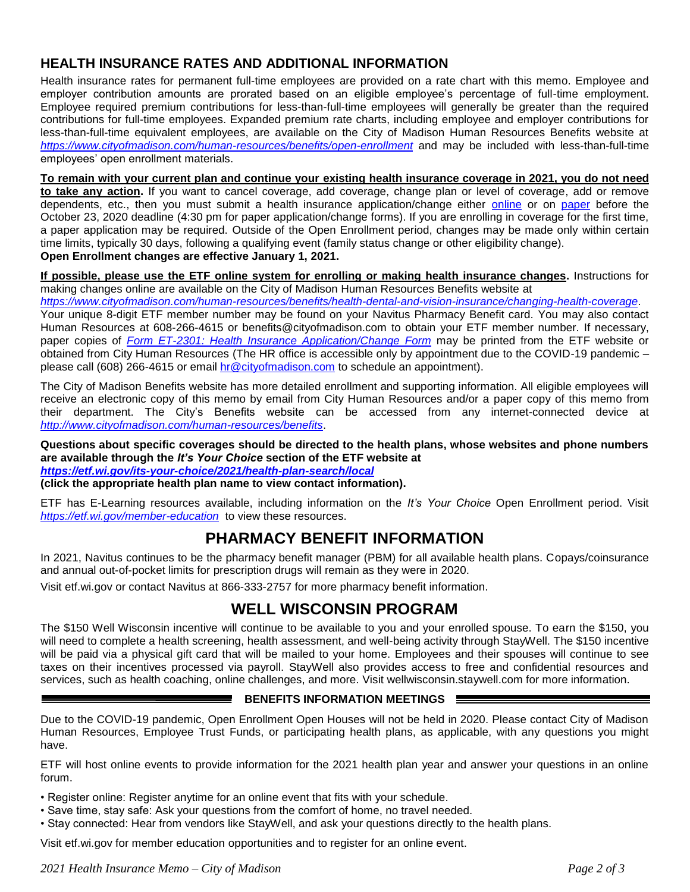### **HEALTH INSURANCE RATES AND ADDITIONAL INFORMATION**

Health insurance rates for permanent full-time employees are provided on a rate chart with this memo. Employee and employer contribution amounts are prorated based on an eligible employee's percentage of full-time employment. Employee required premium contributions for less-than-full-time employees will generally be greater than the required contributions for full-time employees. Expanded premium rate charts, including employee and employer contributions for less-than-full-time equivalent employees, are available on the City of Madison Human Resources Benefits website at *<https://www.cityofmadison.com/human-resources/benefits/open-enrollment>* and may be included with less-than-full-time employees' open enrollment materials.

**To remain with your current plan and continue your existing health insurance coverage in 2021, you do not need to take any action.** If you want to cancel coverage, add coverage, change plan or level of coverage, add or remove dependents, etc., then you must submit a health insurance application/change either [online](https://www.cityofmadison.com/human-resources/benefits/health-dental-and-vision-insurance/changing-health-coverage) or on [paper](https://etf.wi.gov/publications/et2301/download?inline=) before the October 23, 2020 deadline (4:30 pm for paper application/change forms). If you are enrolling in coverage for the first time, a paper application may be required. Outside of the Open Enrollment period, changes may be made only within certain time limits, typically 30 days, following a qualifying event (family status change or other eligibility change). **Open Enrollment changes are effective January 1, 2021.**

**If possible, please use the ETF online system for enrolling or making health insurance changes.** Instructions for making changes online are available on the City of Madison Human Resources Benefits website at

*<https://www.cityofmadison.com/human-resources/benefits/health-dental-and-vision-insurance/changing-health-coverage>*.

Your unique 8-digit ETF member number may be found on your Navitus Pharmacy Benefit card. You may also contact Human Resources at 608-266-4615 or benefits@cityofmadison.com to obtain your ETF member number. If necessary, paper copies of *[Form ET-2301: Health Insurance Application/Change Form](https://etf.wi.gov/publications/et2301/download?inline=)* may be printed from the ETF website or obtained from City Human Resources (The HR office is accessible only by appointment due to the COVID-19 pandemic – please call (608) 266-4615 or email [hr@cityofmadison.com](mailto:hr@cityofmadison.com) to schedule an appointment).

The City of Madison Benefits website has more detailed enrollment and supporting information. All eligible employees will receive an electronic copy of this memo by email from City Human Resources and/or a paper copy of this memo from their department. The City's Benefits website can be accessed from any internet-connected device at *<http://www.cityofmadison.com/human-resources/benefits>*.

**Questions about specific coverages should be directed to the health plans, whose websites and phone numbers are available through the** *It's Your Choice* **section of the ETF website at** 

*<https://etf.wi.gov/its-your-choice/2021/health-plan-search/local>*

**(click the appropriate health plan name to view contact information).**

ETF has E-Learning resources available, including information on the *It's Your Choice* Open Enrollment period. Visit *<https://etf.wi.gov/member-education>* to view these resources.

# **PHARMACY BENEFIT INFORMATION**

In 2021, Navitus continues to be the pharmacy benefit manager (PBM) for all available health plans. Copays/coinsurance and annual out-of-pocket limits for prescription drugs will remain as they were in 2020.

Visit etf.wi.gov or contact Navitus at 866-333-2757 for more pharmacy benefit information.

# **WELL WISCONSIN PROGRAM**

The \$150 Well Wisconsin incentive will continue to be available to you and your enrolled spouse. To earn the \$150, you will need to complete a health screening, health assessment, and well-being activity through StayWell. The \$150 incentive will be paid via a physical gift card that will be mailed to your home. Employees and their spouses will continue to see taxes on their incentives processed via payroll. StayWell also provides access to free and confidential resources and services, such as health coaching, online challenges, and more. Visit wellwisconsin.staywell.com for more information.

#### **BENEFITS INFORMATION MEETINGS**

Due to the COVID-19 pandemic, Open Enrollment Open Houses will not be held in 2020. Please contact City of Madison Human Resources, Employee Trust Funds, or participating health plans, as applicable, with any questions you might have.

ETF will host online events to provide information for the 2021 health plan year and answer your questions in an online forum.

• Register online: Register anytime for an online event that fits with your schedule.

- Save time, stay safe: Ask your questions from the comfort of home, no travel needed.
- Stay connected: Hear from vendors like StayWell, and ask your questions directly to the health plans.

Visit etf.wi.gov for member education opportunities and to register for an online event.